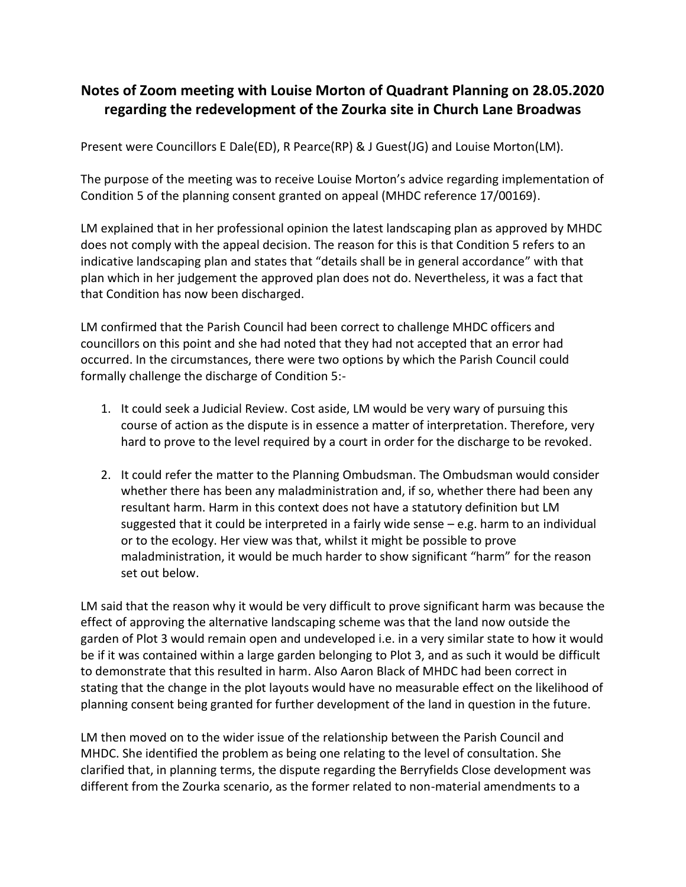## **Notes of Zoom meeting with Louise Morton of Quadrant Planning on 28.05.2020 regarding the redevelopment of the Zourka site in Church Lane Broadwas**

Present were Councillors E Dale(ED), R Pearce(RP) & J Guest(JG) and Louise Morton(LM).

The purpose of the meeting was to receive Louise Morton's advice regarding implementation of Condition 5 of the planning consent granted on appeal (MHDC reference 17/00169).

LM explained that in her professional opinion the latest landscaping plan as approved by MHDC does not comply with the appeal decision. The reason for this is that Condition 5 refers to an indicative landscaping plan and states that "details shall be in general accordance" with that plan which in her judgement the approved plan does not do. Nevertheless, it was a fact that that Condition has now been discharged.

LM confirmed that the Parish Council had been correct to challenge MHDC officers and councillors on this point and she had noted that they had not accepted that an error had occurred. In the circumstances, there were two options by which the Parish Council could formally challenge the discharge of Condition 5:-

- 1. It could seek a Judicial Review. Cost aside, LM would be very wary of pursuing this course of action as the dispute is in essence a matter of interpretation. Therefore, very hard to prove to the level required by a court in order for the discharge to be revoked.
- 2. It could refer the matter to the Planning Ombudsman. The Ombudsman would consider whether there has been any maladministration and, if so, whether there had been any resultant harm. Harm in this context does not have a statutory definition but LM suggested that it could be interpreted in a fairly wide sense – e.g. harm to an individual or to the ecology. Her view was that, whilst it might be possible to prove maladministration, it would be much harder to show significant "harm" for the reason set out below.

LM said that the reason why it would be very difficult to prove significant harm was because the effect of approving the alternative landscaping scheme was that the land now outside the garden of Plot 3 would remain open and undeveloped i.e. in a very similar state to how it would be if it was contained within a large garden belonging to Plot 3, and as such it would be difficult to demonstrate that this resulted in harm. Also Aaron Black of MHDC had been correct in stating that the change in the plot layouts would have no measurable effect on the likelihood of planning consent being granted for further development of the land in question in the future.

LM then moved on to the wider issue of the relationship between the Parish Council and MHDC. She identified the problem as being one relating to the level of consultation. She clarified that, in planning terms, the dispute regarding the Berryfields Close development was different from the Zourka scenario, as the former related to non-material amendments to a